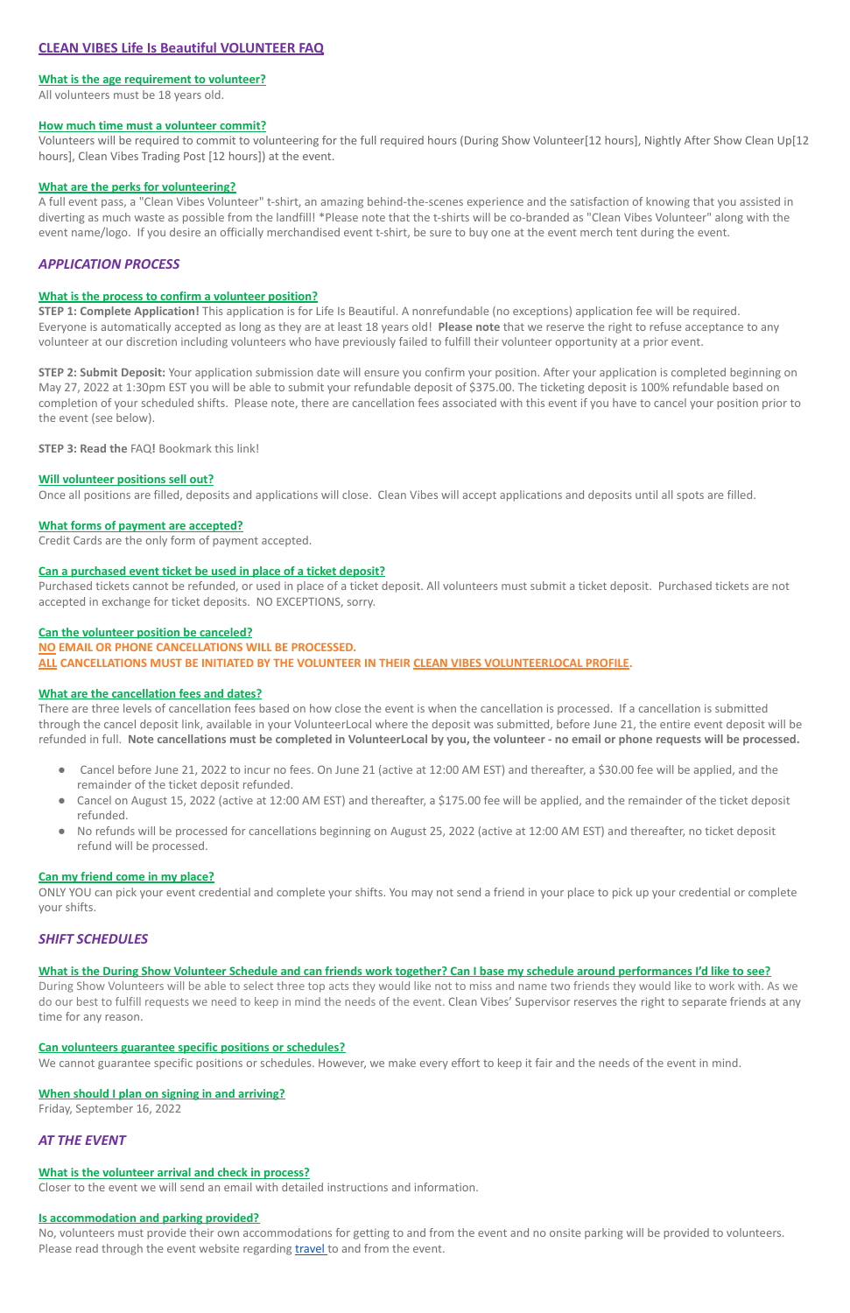# **CLEAN VIBES Life Is Beautiful VOLUNTEER FAQ**

# **What is the age requirement to volunteer?**

All volunteers must be 18 years old.

### **How much time must a volunteer commit?**

Volunteers will be required to commit to volunteering for the full required hours (During Show Volunteer[12 hours], Nightly After Show Clean Up[12 hours], Clean Vibes Trading Post [12 hours]) at the event.

## **What are the perks for volunteering?**

A full event pass, a "Clean Vibes Volunteer" t-shirt, an amazing behind-the-scenes experience and the satisfaction of knowing that you assisted in diverting as much waste as possible from the landfill! \*Please note that the t-shirts will be co-branded as "Clean Vibes Volunteer" along with the event name/logo. If you desire an officially merchandised event t-shirt, be sure to buy one at the event merch tent during the event.

# *APPLICATION PROCESS*

## **What is the process to confirm a volunteer position?**

**STEP 1: Complete Application!** This application is for Life Is Beautiful. A nonrefundable (no exceptions) application fee will be required. Everyone is automatically accepted as long as they are at least 18 years old! **Please note** that we reserve the right to refuse acceptance to any volunteer at our discretion including volunteers who have previously failed to fulfill their volunteer opportunity at a prior event.

**STEP 2: Submit Deposit:** Your application submission date will ensure you confirm your position. After your application is completed beginning on May 27, 2022 at 1:30pm EST you will be able to submit your refundable deposit of \$375.00. The ticketing deposit is 100% refundable based on completion of your scheduled shifts. Please note, there are cancellation fees associated with this event if you have to cancel your position prior to the event (see below).

**STEP 3: Read the** FAQ**!** Bookmark this link!

## **Will volunteer positions sell out?**

Once all positions are filled, deposits and applications will close. Clean Vibes will accept applications and deposits until all spots are filled.

#### **What forms of payment are accepted?**

Credit Cards are the only form of payment accepted.

### **Can a purchased event ticket be used in place of a ticket deposit?**

Purchased tickets cannot be refunded, or used in place of a ticket deposit. All volunteers must submit a ticket deposit. Purchased tickets are not accepted in exchange for ticket deposits. NO EXCEPTIONS, sorry.

No, volunteers must provide their own accommodations for getting to and from the event and no onsite parking will be provided to volunteers. Please read through the event website regarding [travel](https://lifeisbeautiful.com/home/) to and from the event.

# **Can the volunteer position be canceled? NO EMAIL OR PHONE CANCELLATIONS WILL BE PROCESSED. ALL CANCELLATIONS MUST BE INITIATED BY THE VOLUNTEER IN THEIR CLEAN VIBES VOLUNTEERLOCAL PROFILE.**

#### **What are the cancellation fees and dates?**

There are three levels of cancellation fees based on how close the event is when the cancellation is processed. If a cancellation is submitted through the cancel deposit link, available in your VolunteerLocal where the deposit was submitted, before June 21, the entire event deposit will be refunded in full. **Note cancellations must be completed in VolunteerLocal by you, the volunteer - no email or phone requests will be processed.**

- Cancel before June 21, 2022 to incur no fees. On June 21 (active at 12:00 AM EST) and thereafter, a \$30.00 fee will be applied, and the remainder of the ticket deposit refunded.
- Cancel on August 15, 2022 (active at 12:00 AM EST) and thereafter, a \$175.00 fee will be applied, and the remainder of the ticket deposit refunded.
- No refunds will be processed for cancellations beginning on August 25, 2022 (active at 12:00 AM EST) and thereafter, no ticket deposit refund will be processed.

#### **Can my friend come in my place?**

ONLY YOU can pick your event credential and complete your shifts. You may not send a friend in your place to pick up your credential or complete your shifts.

# *SHIFT SCHEDULES*

# **What is the During Show Volunteer Schedule and can friends work together? Can I base my schedule around performances I'd like to see?**

During Show Volunteers will be able to select three top acts they would like not to miss and name two friends they would like to work with. As we do our best to fulfill requests we need to keep in mind the needs of the event. Clean Vibes' Supervisor reserves the right to separate friends at any time for any reason.

#### **Can volunteers guarantee specific positions or schedules?**

We cannot guarantee specific positions or schedules. However, we make every effort to keep it fair and the needs of the event in mind.

#### **When should I plan on signing in and arriving?**

Friday, September 16, 2022

# *AT THE EVENT*

#### **What is the volunteer arrival and check in process?**

Closer to the event we will send an email with detailed instructions and information.

#### **Is accommodation and parking provided?**